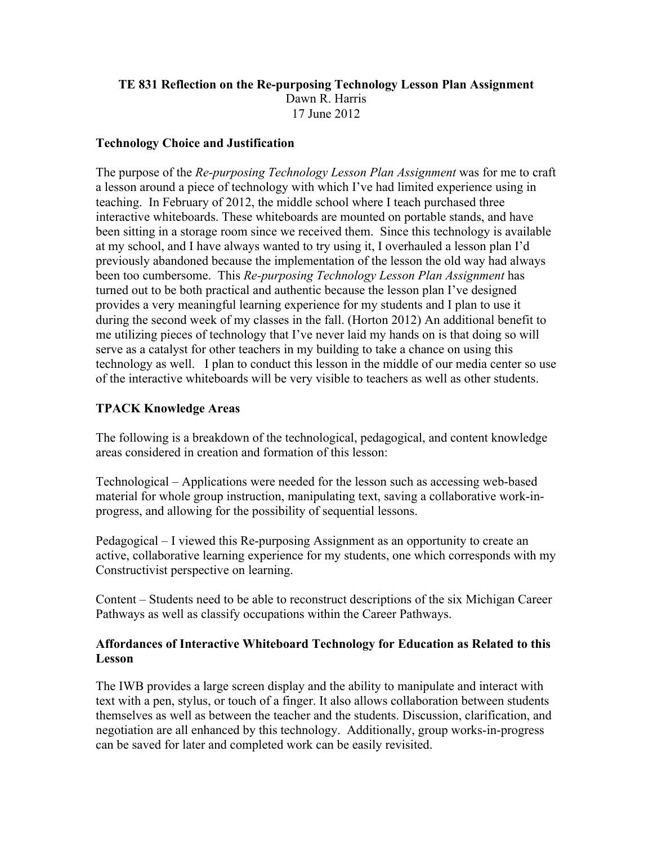## **TE 831 Reflection on the Re-purposing Technology Lesson Plan Assignment** Dawn R. Harris 17 June 2012

## **Technology Choice and Justification**

The purpose of the *Re-purposing Technology Lesson Plan Assignment* was for me to craft a lesson around a piece of technology with which I've had limited experience using in teaching. In February of 2012, the middle school where I teach purchased three interactive whiteboards. These whiteboards are mounted on portable stands, and have been sitting in a storage room since we received them. Since this technology is available at my school, and I have always wanted to try using it, I overhauled a lesson plan I'd previously abandoned because the implementation of the lesson the old way had always been too cumbersome. This *Re-purposing Technology Lesson Plan Assignment* has turned out to be both practical and authentic because the lesson plan I've designed provides a very meaningful learning experience for my students and I plan to use it during the second week of my classes in the fall. (Horton 2012) An additional benefit to me utilizing pieces of technology that I've never laid my hands on is that doing so will serve as a catalyst for other teachers in my building to take a chance on using this technology as well. I plan to conduct this lesson in the middle of our media center so use of the interactive whiteboards will be very visible to teachers as well as other students.

# **TPACK Knowledge Areas**

The following is a breakdown of the technological, pedagogical, and content knowledge areas considered in creation and formation of this lesson:

Technological – Applications were needed for the lesson such as accessing web-based material for whole group instruction, manipulating text, saving a collaborative work-inprogress, and allowing for the possibility of sequential lessons.

Pedagogical – I viewed this Re-purposing Assignment as an opportunity to create an active, collaborative learning experience for my students, one which corresponds with my Constructivist perspective on learning.

Content – Students need to be able to reconstruct descriptions of the six Michigan Career Pathways as well as classify occupations within the Career Pathways.

## **Affordances of Interactive Whiteboard Technology for Education as Related to this Lesson**

The IWB provides a large screen display and the ability to manipulate and interact with text with a pen, stylus, or touch of a finger. It also allows collaboration between students themselves as well as between the teacher and the students. Discussion, clarification, and negotiation are all enhanced by this technology. Additionally, group works-in-progress can be saved for later and completed work can be easily revisited.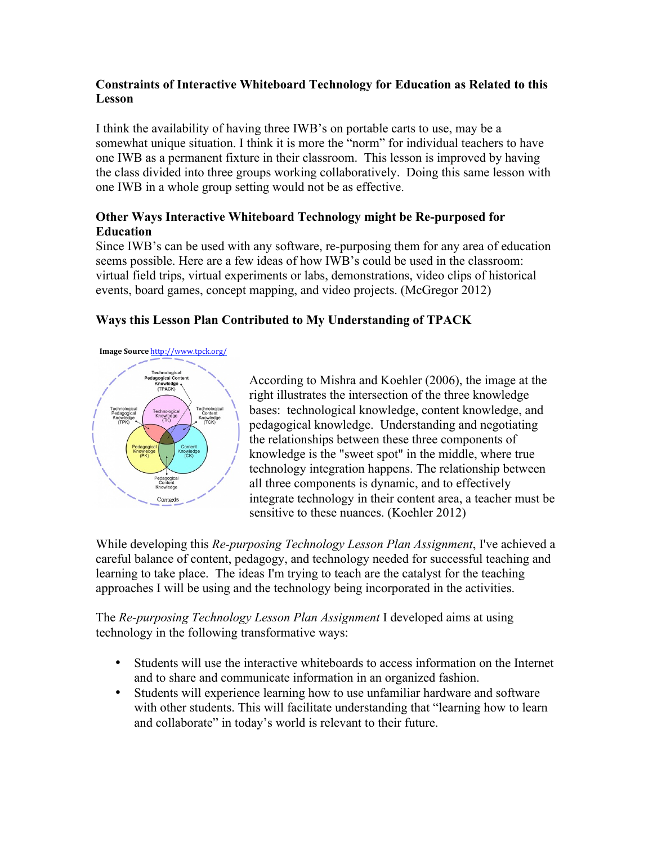# **Constraints of Interactive Whiteboard Technology for Education as Related to this Lesson**

I think the availability of having three IWB's on portable carts to use, may be a somewhat unique situation. I think it is more the "norm" for individual teachers to have one IWB as a permanent fixture in their classroom. This lesson is improved by having the class divided into three groups working collaboratively. Doing this same lesson with one IWB in a whole group setting would not be as effective.

# **Other Ways Interactive Whiteboard Technology might be Re-purposed for Education**

Since IWB's can be used with any software, re-purposing them for any area of education seems possible. Here are a few ideas of how IWB's could be used in the classroom: virtual field trips, virtual experiments or labs, demonstrations, video clips of historical events, board games, concept mapping, and video projects. (McGregor 2012)

# **Ways this Lesson Plan Contributed to My Understanding of TPACK**

#### **Image Source** http://www.tpck.org/



According to Mishra and Koehler (2006), the image at the right illustrates the intersection of the three knowledge bases: technological knowledge, content knowledge, and pedagogical knowledge. Understanding and negotiating the relationships between these three components of knowledge is the "sweet spot" in the middle, where true technology integration happens. The relationship between all three components is dynamic, and to effectively integrate technology in their content area, a teacher must be sensitive to these nuances. (Koehler 2012)

While developing this *Re-purposing Technology Lesson Plan Assignment*, I've achieved a careful balance of content, pedagogy, and technology needed for successful teaching and learning to take place. The ideas I'm trying to teach are the catalyst for the teaching approaches I will be using and the technology being incorporated in the activities.

The *Re-purposing Technology Lesson Plan Assignment* I developed aims at using technology in the following transformative ways:

- Students will use the interactive whiteboards to access information on the Internet and to share and communicate information in an organized fashion.
- Students will experience learning how to use unfamiliar hardware and software with other students. This will facilitate understanding that "learning how to learn and collaborate" in today's world is relevant to their future.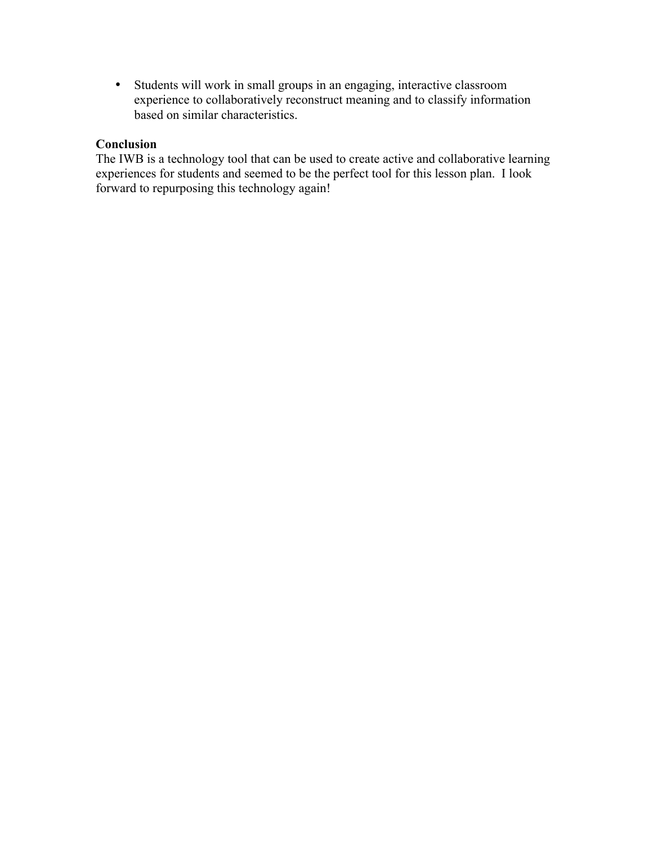• Students will work in small groups in an engaging, interactive classroom experience to collaboratively reconstruct meaning and to classify information based on similar characteristics.

# **Conclusion**

The IWB is a technology tool that can be used to create active and collaborative learning experiences for students and seemed to be the perfect tool for this lesson plan. I look forward to repurposing this technology again!